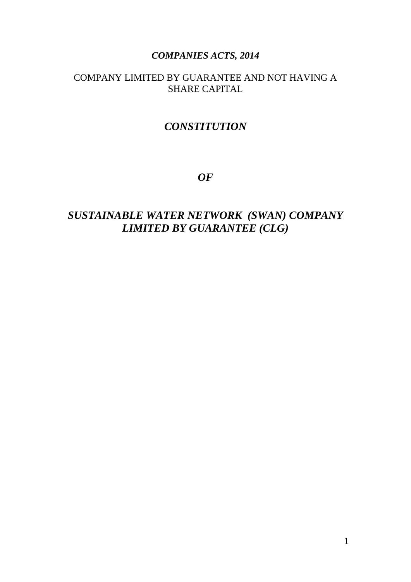### *COMPANIES ACTS, 2014*

### COMPANY LIMITED BY GUARANTEE AND NOT HAVING A SHARE CAPITAL

# *CONSTITUTION*

*OF*

# *SUSTAINABLE WATER NETWORK (SWAN) COMPANY LIMITED BY GUARANTEE (CLG)*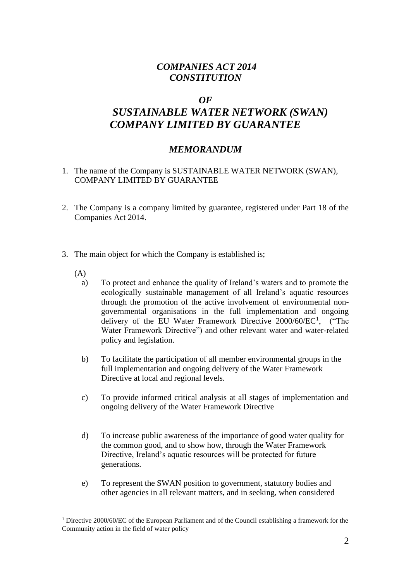### *COMPANIES ACT 2014 CONSTITUTION*

### *OF*

# *SUSTAINABLE WATER NETWORK (SWAN) COMPANY LIMITED BY GUARANTEE*

### *MEMORANDUM*

- 1. The name of the Company is SUSTAINABLE WATER NETWORK (SWAN), COMPANY LIMITED BY GUARANTEE
- 2. The Company is a company limited by guarantee, registered under Part 18 of the Companies Act 2014.
- 3. The main object for which the Company is established is;
	- (A)
		- a) To protect and enhance the quality of Ireland's waters and to promote the ecologically sustainable management of all Ireland's aquatic resources through the promotion of the active involvement of environmental nongovernmental organisations in the full implementation and ongoing delivery of the EU Water Framework Directive 2000/60/EC<sup>1</sup>, ("The Water Framework Directive") and other relevant water and water-related policy and legislation.
		- b) To facilitate the participation of all member environmental groups in the full implementation and ongoing delivery of the Water Framework Directive at local and regional levels.
		- c) To provide informed critical analysis at all stages of implementation and ongoing delivery of the Water Framework Directive
		- d) To increase public awareness of the importance of good water quality for the common good, and to show how, through the Water Framework Directive, Ireland's aquatic resources will be protected for future generations.
		- e) To represent the SWAN position to government, statutory bodies and other agencies in all relevant matters, and in seeking, when considered

<sup>&</sup>lt;sup>1</sup> Directive 2000/60/EC of the European Parliament and of the Council establishing a framework for the Community action in the field of water policy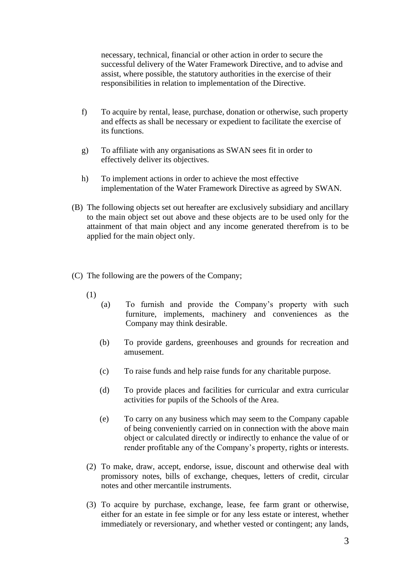necessary, technical, financial or other action in order to secure the successful delivery of the Water Framework Directive, and to advise and assist, where possible, the statutory authorities in the exercise of their responsibilities in relation to implementation of the Directive.

- f) To acquire by rental, lease, purchase, donation or otherwise, such property and effects as shall be necessary or expedient to facilitate the exercise of its functions.
- g) To affiliate with any organisations as SWAN sees fit in order to effectively deliver its objectives.
- h) To implement actions in order to achieve the most effective implementation of the Water Framework Directive as agreed by SWAN.
- (B) The following objects set out hereafter are exclusively subsidiary and ancillary to the main object set out above and these objects are to be used only for the attainment of that main object and any income generated therefrom is to be applied for the main object only.
- (C) The following are the powers of the Company;
	- (1)
		- (a) To furnish and provide the Company's property with such furniture, implements, machinery and conveniences as the Company may think desirable.
		- (b) To provide gardens, greenhouses and grounds for recreation and amusement.
		- (c) To raise funds and help raise funds for any charitable purpose.
		- (d) To provide places and facilities for curricular and extra curricular activities for pupils of the Schools of the Area.
		- (e) To carry on any business which may seem to the Company capable of being conveniently carried on in connection with the above main object or calculated directly or indirectly to enhance the value of or render profitable any of the Company's property, rights or interests.
	- (2) To make, draw, accept, endorse, issue, discount and otherwise deal with promissory notes, bills of exchange, cheques, letters of credit, circular notes and other mercantile instruments.
	- (3) To acquire by purchase, exchange, lease, fee farm grant or otherwise, either for an estate in fee simple or for any less estate or interest, whether immediately or reversionary, and whether vested or contingent; any lands,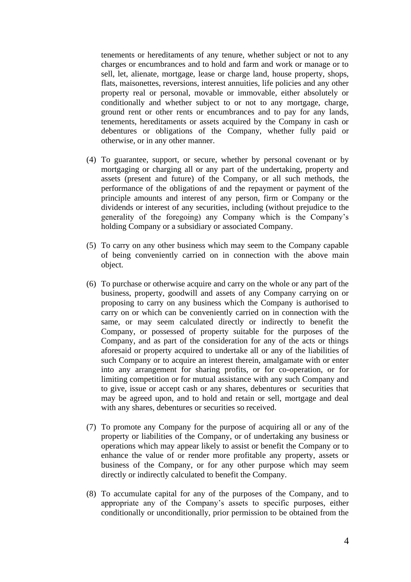tenements or hereditaments of any tenure, whether subject or not to any charges or encumbrances and to hold and farm and work or manage or to sell, let, alienate, mortgage, lease or charge land, house property, shops, flats, maisonettes, reversions, interest annuities, life policies and any other property real or personal, movable or immovable, either absolutely or conditionally and whether subject to or not to any mortgage, charge, ground rent or other rents or encumbrances and to pay for any lands, tenements, hereditaments or assets acquired by the Company in cash or debentures or obligations of the Company, whether fully paid or otherwise, or in any other manner.

- (4) To guarantee, support, or secure, whether by personal covenant or by mortgaging or charging all or any part of the undertaking, property and assets (present and future) of the Company, or all such methods, the performance of the obligations of and the repayment or payment of the principle amounts and interest of any person, firm or Company or the dividends or interest of any securities, including (without prejudice to the generality of the foregoing) any Company which is the Company's holding Company or a subsidiary or associated Company.
- (5) To carry on any other business which may seem to the Company capable of being conveniently carried on in connection with the above main object.
- (6) To purchase or otherwise acquire and carry on the whole or any part of the business, property, goodwill and assets of any Company carrying on or proposing to carry on any business which the Company is authorised to carry on or which can be conveniently carried on in connection with the same, or may seem calculated directly or indirectly to benefit the Company, or possessed of property suitable for the purposes of the Company, and as part of the consideration for any of the acts or things aforesaid or property acquired to undertake all or any of the liabilities of such Company or to acquire an interest therein, amalgamate with or enter into any arrangement for sharing profits, or for co-operation, or for limiting competition or for mutual assistance with any such Company and to give, issue or accept cash or any shares, debentures or securities that may be agreed upon, and to hold and retain or sell, mortgage and deal with any shares, debentures or securities so received.
- (7) To promote any Company for the purpose of acquiring all or any of the property or liabilities of the Company, or of undertaking any business or operations which may appear likely to assist or benefit the Company or to enhance the value of or render more profitable any property, assets or business of the Company, or for any other purpose which may seem directly or indirectly calculated to benefit the Company.
- (8) To accumulate capital for any of the purposes of the Company, and to appropriate any of the Company's assets to specific purposes, either conditionally or unconditionally, prior permission to be obtained from the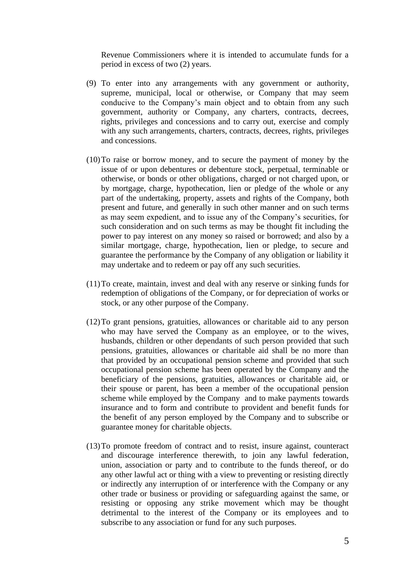Revenue Commissioners where it is intended to accumulate funds for a period in excess of two (2) years.

- (9) To enter into any arrangements with any government or authority, supreme, municipal, local or otherwise, or Company that may seem conducive to the Company's main object and to obtain from any such government, authority or Company, any charters, contracts, decrees, rights, privileges and concessions and to carry out, exercise and comply with any such arrangements, charters, contracts, decrees, rights, privileges and concessions.
- (10)To raise or borrow money, and to secure the payment of money by the issue of or upon debentures or debenture stock, perpetual, terminable or otherwise, or bonds or other obligations, charged or not charged upon, or by mortgage, charge, hypothecation, lien or pledge of the whole or any part of the undertaking, property, assets and rights of the Company, both present and future, and generally in such other manner and on such terms as may seem expedient, and to issue any of the Company's securities, for such consideration and on such terms as may be thought fit including the power to pay interest on any money so raised or borrowed; and also by a similar mortgage, charge, hypothecation, lien or pledge, to secure and guarantee the performance by the Company of any obligation or liability it may undertake and to redeem or pay off any such securities.
- (11)To create, maintain, invest and deal with any reserve or sinking funds for redemption of obligations of the Company, or for depreciation of works or stock, or any other purpose of the Company.
- (12)To grant pensions, gratuities, allowances or charitable aid to any person who may have served the Company as an employee, or to the wives, husbands, children or other dependants of such person provided that such pensions, gratuities, allowances or charitable aid shall be no more than that provided by an occupational pension scheme and provided that such occupational pension scheme has been operated by the Company and the beneficiary of the pensions, gratuities, allowances or charitable aid, or their spouse or parent, has been a member of the occupational pension scheme while employed by the Company and to make payments towards insurance and to form and contribute to provident and benefit funds for the benefit of any person employed by the Company and to subscribe or guarantee money for charitable objects.
- (13)To promote freedom of contract and to resist, insure against, counteract and discourage interference therewith, to join any lawful federation, union, association or party and to contribute to the funds thereof, or do any other lawful act or thing with a view to preventing or resisting directly or indirectly any interruption of or interference with the Company or any other trade or business or providing or safeguarding against the same, or resisting or opposing any strike movement which may be thought detrimental to the interest of the Company or its employees and to subscribe to any association or fund for any such purposes.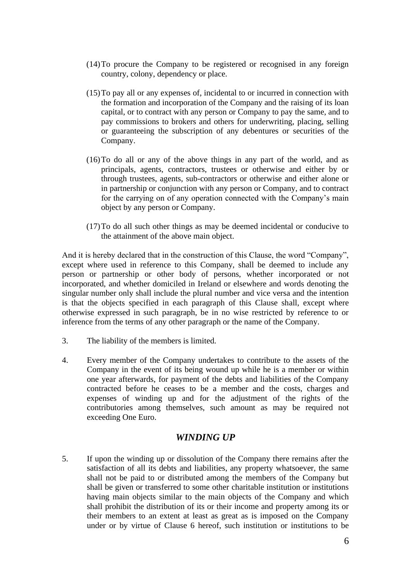- (14)To procure the Company to be registered or recognised in any foreign country, colony, dependency or place.
- (15)To pay all or any expenses of, incidental to or incurred in connection with the formation and incorporation of the Company and the raising of its loan capital, or to contract with any person or Company to pay the same, and to pay commissions to brokers and others for underwriting, placing, selling or guaranteeing the subscription of any debentures or securities of the Company.
- (16)To do all or any of the above things in any part of the world, and as principals, agents, contractors, trustees or otherwise and either by or through trustees, agents, sub-contractors or otherwise and either alone or in partnership or conjunction with any person or Company, and to contract for the carrying on of any operation connected with the Company's main object by any person or Company.
- (17)To do all such other things as may be deemed incidental or conducive to the attainment of the above main object.

And it is hereby declared that in the construction of this Clause, the word "Company", except where used in reference to this Company, shall be deemed to include any person or partnership or other body of persons, whether incorporated or not incorporated, and whether domiciled in Ireland or elsewhere and words denoting the singular number only shall include the plural number and vice versa and the intention is that the objects specified in each paragraph of this Clause shall, except where otherwise expressed in such paragraph, be in no wise restricted by reference to or inference from the terms of any other paragraph or the name of the Company.

- 3. The liability of the members is limited.
- 4. Every member of the Company undertakes to contribute to the assets of the Company in the event of its being wound up while he is a member or within one year afterwards, for payment of the debts and liabilities of the Company contracted before he ceases to be a member and the costs, charges and expenses of winding up and for the adjustment of the rights of the contributories among themselves, such amount as may be required not exceeding One Euro.

#### *WINDING UP*

5. If upon the winding up or dissolution of the Company there remains after the satisfaction of all its debts and liabilities, any property whatsoever, the same shall not be paid to or distributed among the members of the Company but shall be given or transferred to some other charitable institution or institutions having main objects similar to the main objects of the Company and which shall prohibit the distribution of its or their income and property among its or their members to an extent at least as great as is imposed on the Company under or by virtue of Clause 6 hereof, such institution or institutions to be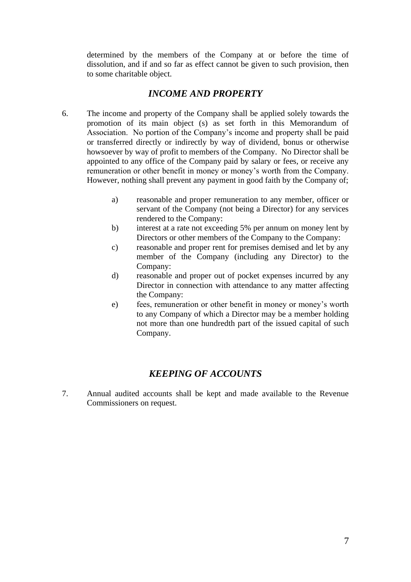determined by the members of the Company at or before the time of dissolution, and if and so far as effect cannot be given to such provision, then to some charitable object.

### *INCOME AND PROPERTY*

- 6. The income and property of the Company shall be applied solely towards the promotion of its main object (s) as set forth in this Memorandum of Association. No portion of the Company's income and property shall be paid or transferred directly or indirectly by way of dividend, bonus or otherwise howsoever by way of profit to members of the Company. No Director shall be appointed to any office of the Company paid by salary or fees, or receive any remuneration or other benefit in money or money's worth from the Company. However, nothing shall prevent any payment in good faith by the Company of;
	- a) reasonable and proper remuneration to any member, officer or servant of the Company (not being a Director) for any services rendered to the Company:
	- b) interest at a rate not exceeding 5% per annum on money lent by Directors or other members of the Company to the Company:
	- c) reasonable and proper rent for premises demised and let by any member of the Company (including any Director) to the Company:
	- d) reasonable and proper out of pocket expenses incurred by any Director in connection with attendance to any matter affecting the Company:
	- e) fees, remuneration or other benefit in money or money's worth to any Company of which a Director may be a member holding not more than one hundredth part of the issued capital of such Company.

### *KEEPING OF ACCOUNTS*

7. Annual audited accounts shall be kept and made available to the Revenue Commissioners on request.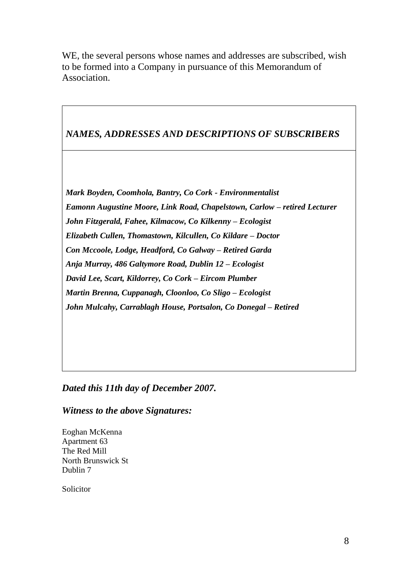WE, the several persons whose names and addresses are subscribed, wish to be formed into a Company in pursuance of this Memorandum of Association.

## *NAMES, ADDRESSES AND DESCRIPTIONS OF SUBSCRIBERS*

*Mark Boyden, Coomhola, Bantry, Co Cork - Environmentalist Eamonn Augustine Moore, Link Road, Chapelstown, Carlow – retired Lecturer John Fitzgerald, Fahee, Kilmacow, Co Kilkenny – Ecologist Elizabeth Cullen, Thomastown, Kilcullen, Co Kildare – Doctor Con Mccoole, Lodge, Headford, Co Galway – Retired Garda Anja Murray, 486 Galtymore Road, Dublin 12 – Ecologist David Lee, Scart, Kildorrey, Co Cork – Eircom Plumber Martin Brenna, Cuppanagh, Cloonloo, Co Sligo – Ecologist John Mulcahy, Carrablagh House, Portsalon, Co Donegal – Retired*

*Dated this 11th day of December 2007.*

*Witness to the above Signatures:*

Eoghan McKenna Apartment 63 The Red Mill North Brunswick St Dublin 7

Solicitor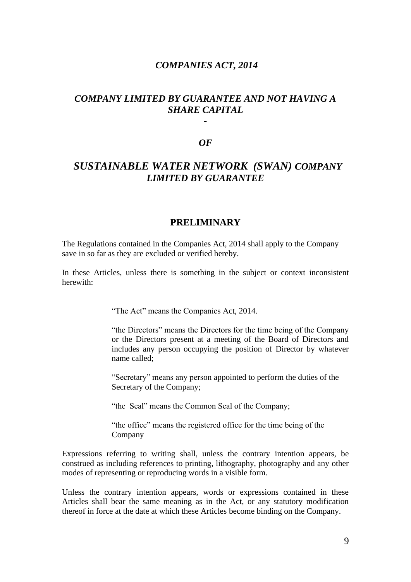#### *COMPANIES ACT, 2014*

### *COMPANY LIMITED BY GUARANTEE AND NOT HAVING A SHARE CAPITAL*

*-*

#### *OF*

### *SUSTAINABLE WATER NETWORK (SWAN) COMPANY LIMITED BY GUARANTEE*

#### **PRELIMINARY**

The Regulations contained in the Companies Act, 2014 shall apply to the Company save in so far as they are excluded or verified hereby.

In these Articles, unless there is something in the subject or context inconsistent herewith:

"The Act" means the Companies Act, 2014.

"the Directors" means the Directors for the time being of the Company or the Directors present at a meeting of the Board of Directors and includes any person occupying the position of Director by whatever name called;

"Secretary" means any person appointed to perform the duties of the Secretary of the Company;

"the Seal" means the Common Seal of the Company;

"the office" means the registered office for the time being of the Company

Expressions referring to writing shall, unless the contrary intention appears, be construed as including references to printing, lithography, photography and any other modes of representing or reproducing words in a visible form.

Unless the contrary intention appears, words or expressions contained in these Articles shall bear the same meaning as in the Act, or any statutory modification thereof in force at the date at which these Articles become binding on the Company.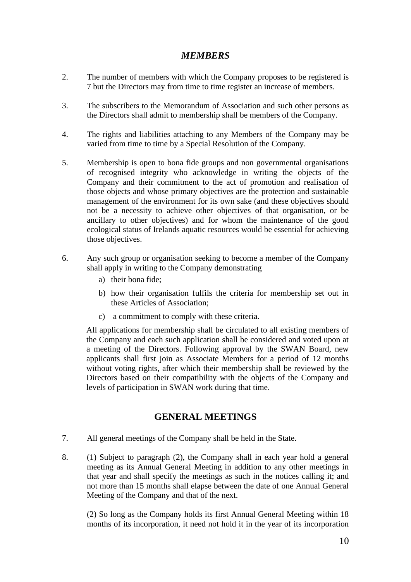### *MEMBERS*

- 2. The number of members with which the Company proposes to be registered is 7 but the Directors may from time to time register an increase of members.
- 3. The subscribers to the Memorandum of Association and such other persons as the Directors shall admit to membership shall be members of the Company.
- 4. The rights and liabilities attaching to any Members of the Company may be varied from time to time by a Special Resolution of the Company.
- 5. Membership is open to bona fide groups and non governmental organisations of recognised integrity who acknowledge in writing the objects of the Company and their commitment to the act of promotion and realisation of those objects and whose primary objectives are the protection and sustainable management of the environment for its own sake (and these objectives should not be a necessity to achieve other objectives of that organisation, or be ancillary to other objectives) and for whom the maintenance of the good ecological status of Irelands aquatic resources would be essential for achieving those objectives.
- 6. Any such group or organisation seeking to become a member of the Company shall apply in writing to the Company demonstrating
	- a) their bona fide;
	- b) how their organisation fulfils the criteria for membership set out in these Articles of Association;
	- c) a commitment to comply with these criteria.

All applications for membership shall be circulated to all existing members of the Company and each such application shall be considered and voted upon at a meeting of the Directors. Following approval by the SWAN Board, new applicants shall first join as Associate Members for a period of 12 months without voting rights, after which their membership shall be reviewed by the Directors based on their compatibility with the objects of the Company and levels of participation in SWAN work during that time.

#### **GENERAL MEETINGS**

- 7. All general meetings of the Company shall be held in the State.
- 8. (1) Subject to paragraph (2), the Company shall in each year hold a general meeting as its Annual General Meeting in addition to any other meetings in that year and shall specify the meetings as such in the notices calling it; and not more than 15 months shall elapse between the date of one Annual General Meeting of the Company and that of the next.

(2) So long as the Company holds its first Annual General Meeting within 18 months of its incorporation, it need not hold it in the year of its incorporation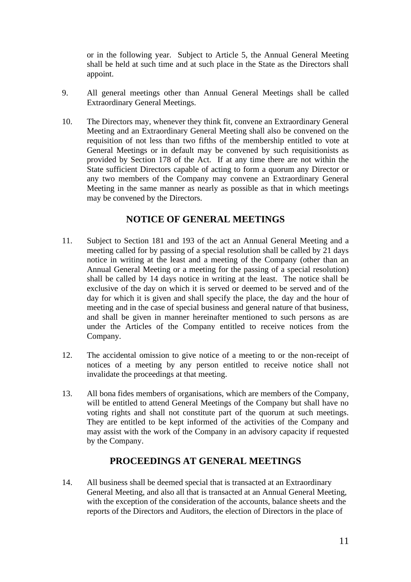or in the following year. Subject to Article 5, the Annual General Meeting shall be held at such time and at such place in the State as the Directors shall appoint.

- 9. All general meetings other than Annual General Meetings shall be called Extraordinary General Meetings.
- 10. The Directors may, whenever they think fit, convene an Extraordinary General Meeting and an Extraordinary General Meeting shall also be convened on the requisition of not less than two fifths of the membership entitled to vote at General Meetings or in default may be convened by such requisitionists as provided by Section 178 of the Act. If at any time there are not within the State sufficient Directors capable of acting to form a quorum any Director or any two members of the Company may convene an Extraordinary General Meeting in the same manner as nearly as possible as that in which meetings may be convened by the Directors.

#### **NOTICE OF GENERAL MEETINGS**

- 11. Subject to Section 181 and 193 of the act an Annual General Meeting and a meeting called for by passing of a special resolution shall be called by 21 days notice in writing at the least and a meeting of the Company (other than an Annual General Meeting or a meeting for the passing of a special resolution) shall be called by 14 days notice in writing at the least. The notice shall be exclusive of the day on which it is served or deemed to be served and of the day for which it is given and shall specify the place, the day and the hour of meeting and in the case of special business and general nature of that business, and shall be given in manner hereinafter mentioned to such persons as are under the Articles of the Company entitled to receive notices from the Company.
- 12. The accidental omission to give notice of a meeting to or the non-receipt of notices of a meeting by any person entitled to receive notice shall not invalidate the proceedings at that meeting.
- 13. All bona fides members of organisations, which are members of the Company, will be entitled to attend General Meetings of the Company but shall have no voting rights and shall not constitute part of the quorum at such meetings. They are entitled to be kept informed of the activities of the Company and may assist with the work of the Company in an advisory capacity if requested by the Company.

#### **PROCEEDINGS AT GENERAL MEETINGS**

14. All business shall be deemed special that is transacted at an Extraordinary General Meeting, and also all that is transacted at an Annual General Meeting, with the exception of the consideration of the accounts, balance sheets and the reports of the Directors and Auditors, the election of Directors in the place of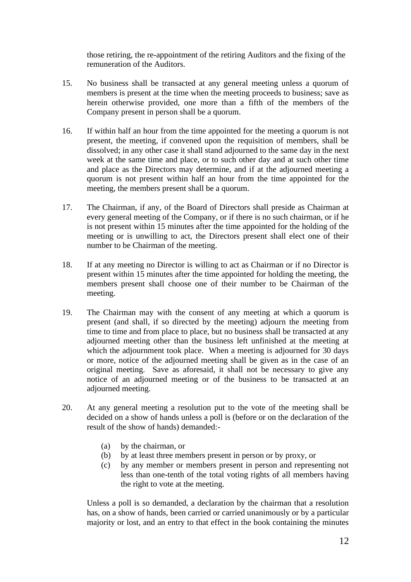those retiring, the re-appointment of the retiring Auditors and the fixing of the remuneration of the Auditors.

- 15. No business shall be transacted at any general meeting unless a quorum of members is present at the time when the meeting proceeds to business; save as herein otherwise provided, one more than a fifth of the members of the Company present in person shall be a quorum.
- 16. If within half an hour from the time appointed for the meeting a quorum is not present, the meeting, if convened upon the requisition of members, shall be dissolved; in any other case it shall stand adjourned to the same day in the next week at the same time and place, or to such other day and at such other time and place as the Directors may determine, and if at the adjourned meeting a quorum is not present within half an hour from the time appointed for the meeting, the members present shall be a quorum.
- 17. The Chairman, if any, of the Board of Directors shall preside as Chairman at every general meeting of the Company, or if there is no such chairman, or if he is not present within 15 minutes after the time appointed for the holding of the meeting or is unwilling to act, the Directors present shall elect one of their number to be Chairman of the meeting.
- 18. If at any meeting no Director is willing to act as Chairman or if no Director is present within 15 minutes after the time appointed for holding the meeting, the members present shall choose one of their number to be Chairman of the meeting.
- 19. The Chairman may with the consent of any meeting at which a quorum is present (and shall, if so directed by the meeting) adjourn the meeting from time to time and from place to place, but no business shall be transacted at any adjourned meeting other than the business left unfinished at the meeting at which the adjournment took place. When a meeting is adjourned for 30 days or more, notice of the adjourned meeting shall be given as in the case of an original meeting. Save as aforesaid, it shall not be necessary to give any notice of an adjourned meeting or of the business to be transacted at an adjourned meeting.
- 20. At any general meeting a resolution put to the vote of the meeting shall be decided on a show of hands unless a poll is (before or on the declaration of the result of the show of hands) demanded:-
	- (a) by the chairman, or
	- (b) by at least three members present in person or by proxy, or
	- (c) by any member or members present in person and representing not less than one-tenth of the total voting rights of all members having the right to vote at the meeting.

Unless a poll is so demanded, a declaration by the chairman that a resolution has, on a show of hands, been carried or carried unanimously or by a particular majority or lost, and an entry to that effect in the book containing the minutes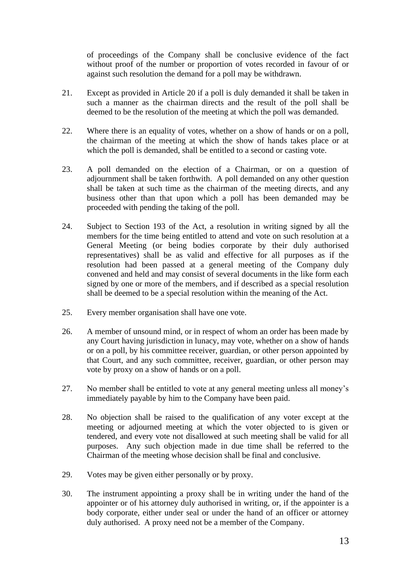of proceedings of the Company shall be conclusive evidence of the fact without proof of the number or proportion of votes recorded in favour of or against such resolution the demand for a poll may be withdrawn.

- 21. Except as provided in Article 20 if a poll is duly demanded it shall be taken in such a manner as the chairman directs and the result of the poll shall be deemed to be the resolution of the meeting at which the poll was demanded.
- 22. Where there is an equality of votes, whether on a show of hands or on a poll, the chairman of the meeting at which the show of hands takes place or at which the poll is demanded, shall be entitled to a second or casting vote.
- 23. A poll demanded on the election of a Chairman, or on a question of adjournment shall be taken forthwith. A poll demanded on any other question shall be taken at such time as the chairman of the meeting directs, and any business other than that upon which a poll has been demanded may be proceeded with pending the taking of the poll.
- 24. Subject to Section 193 of the Act, a resolution in writing signed by all the members for the time being entitled to attend and vote on such resolution at a General Meeting (or being bodies corporate by their duly authorised representatives) shall be as valid and effective for all purposes as if the resolution had been passed at a general meeting of the Company duly convened and held and may consist of several documents in the like form each signed by one or more of the members, and if described as a special resolution shall be deemed to be a special resolution within the meaning of the Act.
- 25. Every member organisation shall have one vote.
- 26. A member of unsound mind, or in respect of whom an order has been made by any Court having jurisdiction in lunacy, may vote, whether on a show of hands or on a poll, by his committee receiver, guardian, or other person appointed by that Court, and any such committee, receiver, guardian, or other person may vote by proxy on a show of hands or on a poll.
- 27. No member shall be entitled to vote at any general meeting unless all money's immediately payable by him to the Company have been paid.
- 28. No objection shall be raised to the qualification of any voter except at the meeting or adjourned meeting at which the voter objected to is given or tendered, and every vote not disallowed at such meeting shall be valid for all purposes. Any such objection made in due time shall be referred to the Chairman of the meeting whose decision shall be final and conclusive.
- 29. Votes may be given either personally or by proxy.
- 30. The instrument appointing a proxy shall be in writing under the hand of the appointer or of his attorney duly authorised in writing, or, if the appointer is a body corporate, either under seal or under the hand of an officer or attorney duly authorised. A proxy need not be a member of the Company.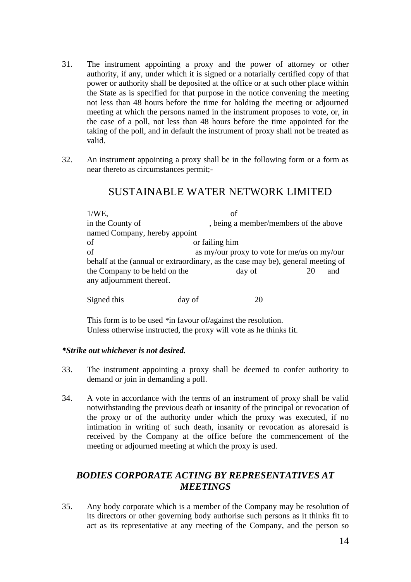- 31. The instrument appointing a proxy and the power of attorney or other authority, if any, under which it is signed or a notarially certified copy of that power or authority shall be deposited at the office or at such other place within the State as is specified for that purpose in the notice convening the meeting not less than 48 hours before the time for holding the meeting or adjourned meeting at which the persons named in the instrument proposes to vote, or, in the case of a poll, not less than 48 hours before the time appointed for the taking of the poll, and in default the instrument of proxy shall not be treated as valid.
- 32. An instrument appointing a proxy shall be in the following form or a form as near thereto as circumstances permit;-

### SUSTAINABLE WATER NETWORK LIMITED

1/WE, of in the County of , being a member/members of the above named Company, hereby appoint of or failing him of as my/our proxy to vote for me/us on my/our behalf at the (annual or extraordinary, as the case may be), general meeting of the Company to be held on the day of 20 and any adjournment thereof.

Signed this day of 20

This form is to be used *\**in favour of/against the resolution. Unless otherwise instructed, the proxy will vote as he thinks fit.

#### *\*Strike out whichever is not desired.*

- 33. The instrument appointing a proxy shall be deemed to confer authority to demand or join in demanding a poll.
- 34. A vote in accordance with the terms of an instrument of proxy shall be valid notwithstanding the previous death or insanity of the principal or revocation of the proxy or of the authority under which the proxy was executed, if no intimation in writing of such death, insanity or revocation as aforesaid is received by the Company at the office before the commencement of the meeting or adjourned meeting at which the proxy is used.

### *BODIES CORPORATE ACTING BY REPRESENTATIVES AT MEETINGS*

35. Any body corporate which is a member of the Company may be resolution of its directors or other governing body authorise such persons as it thinks fit to act as its representative at any meeting of the Company, and the person so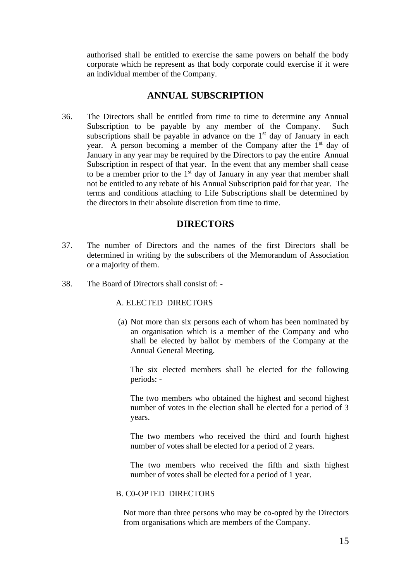authorised shall be entitled to exercise the same powers on behalf the body corporate which he represent as that body corporate could exercise if it were an individual member of the Company.

#### **ANNUAL SUBSCRIPTION**

36. The Directors shall be entitled from time to time to determine any Annual Subscription to be payable by any member of the Company. Such subscriptions shall be payable in advance on the  $1<sup>st</sup>$  day of January in each year. A person becoming a member of the Company after the 1<sup>st</sup> day of January in any year may be required by the Directors to pay the entire Annual Subscription in respect of that year. In the event that any member shall cease to be a member prior to the  $1<sup>st</sup>$  day of January in any year that member shall not be entitled to any rebate of his Annual Subscription paid for that year. The terms and conditions attaching to Life Subscriptions shall be determined by the directors in their absolute discretion from time to time.

#### **DIRECTORS**

- 37. The number of Directors and the names of the first Directors shall be determined in writing by the subscribers of the Memorandum of Association or a majority of them.
- 38. The Board of Directors shall consist of: -

#### A. ELECTED DIRECTORS

(a) Not more than six persons each of whom has been nominated by an organisation which is a member of the Company and who shall be elected by ballot by members of the Company at the Annual General Meeting.

The six elected members shall be elected for the following periods: -

The two members who obtained the highest and second highest number of votes in the election shall be elected for a period of 3 years.

The two members who received the third and fourth highest number of votes shall be elected for a period of 2 years.

The two members who received the fifth and sixth highest number of votes shall be elected for a period of 1 year.

#### B. C0-OPTED DIRECTORS

Not more than three persons who may be co-opted by the Directors from organisations which are members of the Company.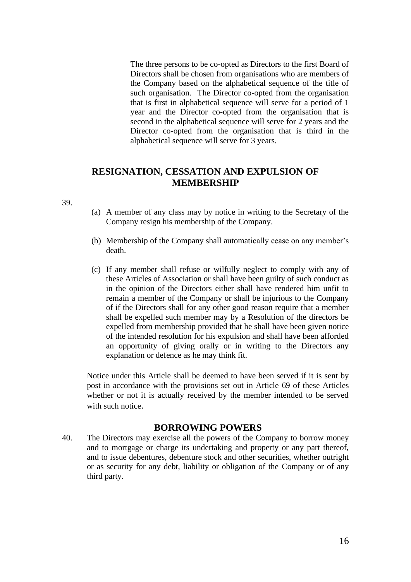The three persons to be co-opted as Directors to the first Board of Directors shall be chosen from organisations who are members of the Company based on the alphabetical sequence of the title of such organisation. The Director co-opted from the organisation that is first in alphabetical sequence will serve for a period of 1 year and the Director co-opted from the organisation that is second in the alphabetical sequence will serve for 2 years and the Director co-opted from the organisation that is third in the alphabetical sequence will serve for 3 years.

### **RESIGNATION, CESSATION AND EXPULSION OF MEMBERSHIP**

39.

- (a) A member of any class may by notice in writing to the Secretary of the Company resign his membership of the Company.
- (b) Membership of the Company shall automatically cease on any member's death.
- (c) If any member shall refuse or wilfully neglect to comply with any of these Articles of Association or shall have been guilty of such conduct as in the opinion of the Directors either shall have rendered him unfit to remain a member of the Company or shall be injurious to the Company of if the Directors shall for any other good reason require that a member shall be expelled such member may by a Resolution of the directors be expelled from membership provided that he shall have been given notice of the intended resolution for his expulsion and shall have been afforded an opportunity of giving orally or in writing to the Directors any explanation or defence as he may think fit.

Notice under this Article shall be deemed to have been served if it is sent by post in accordance with the provisions set out in Article 69 of these Articles whether or not it is actually received by the member intended to be served with such notice

#### **BORROWING POWERS**

40. The Directors may exercise all the powers of the Company to borrow money and to mortgage or charge its undertaking and property or any part thereof, and to issue debentures, debenture stock and other securities, whether outright or as security for any debt, liability or obligation of the Company or of any third party.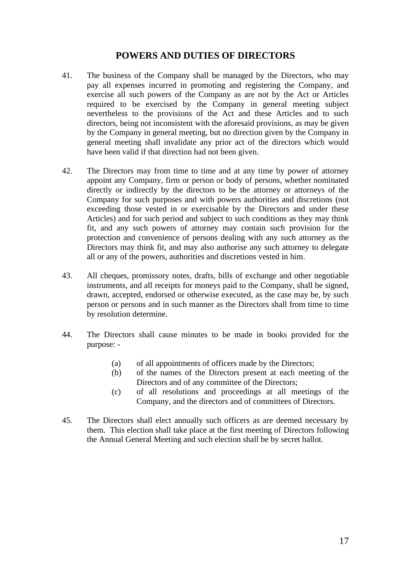#### **POWERS AND DUTIES OF DIRECTORS**

- 41. The business of the Company shall be managed by the Directors, who may pay all expenses incurred in promoting and registering the Company, and exercise all such powers of the Company as are not by the Act or Articles required to be exercised by the Company in general meeting subject nevertheless to the provisions of the Act and these Articles and to such directors, being not inconsistent with the aforesaid provisions, as may be given by the Company in general meeting, but no direction given by the Company in general meeting shall invalidate any prior act of the directors which would have been valid if that direction had not been given.
- 42. The Directors may from time to time and at any time by power of attorney appoint any Company, firm or person or body of persons, whether nominated directly or indirectly by the directors to be the attorney or attorneys of the Company for such purposes and with powers authorities and discretions (not exceeding those vested in or exercisable by the Directors and under these Articles) and for such period and subject to such conditions as they may think fit, and any such powers of attorney may contain such provision for the protection and convenience of persons dealing with any such attorney as the Directors may think fit, and may also authorise any such attorney to delegate all or any of the powers, authorities and discretions vested in him.
- 43. All cheques, promissory notes, drafts, bills of exchange and other negotiable instruments, and all receipts for moneys paid to the Company, shall be signed, drawn, accepted, endorsed or otherwise executed, as the case may be, by such person or persons and in such manner as the Directors shall from time to time by resolution determine.
- 44. The Directors shall cause minutes to be made in books provided for the purpose: -
	- (a) of all appointments of officers made by the Directors;
	- (b) of the names of the Directors present at each meeting of the Directors and of any committee of the Directors;
	- (c) of all resolutions and proceedings at all meetings of the Company, and the directors and of committees of Directors.
- 45. The Directors shall elect annually such officers as are deemed necessary by them. This election shall take place at the first meeting of Directors following the Annual General Meeting and such election shall be by secret ballot.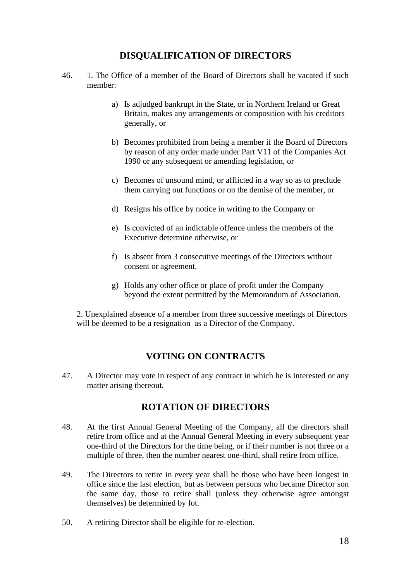### **DISQUALIFICATION OF DIRECTORS**

- 46. 1. The Office of a member of the Board of Directors shall be vacated if such member:
	- a) Is adjudged bankrupt in the State, or in Northern Ireland or Great Britain, makes any arrangements or composition with his creditors generally, or
	- b) Becomes prohibited from being a member if the Board of Directors by reason of any order made under Part V11 of the Companies Act 1990 or any subsequent or amending legislation, or
	- c) Becomes of unsound mind, or afflicted in a way so as to preclude them carrying out functions or on the demise of the member, or
	- d) Resigns his office by notice in writing to the Company or
	- e) Is convicted of an indictable offence unless the members of the Executive determine otherwise, or
	- f) Is absent from 3 consecutive meetings of the Directors without consent or agreement.
	- g) Holds any other office or place of profit under the Company beyond the extent permitted by the Memorandum of Association.

2. Unexplained absence of a member from three successive meetings of Directors will be deemed to be a resignation as a Director of the Company.

### **VOTING ON CONTRACTS**

47. A Director may vote in respect of any contract in which he is interested or any matter arising thereout.

#### **ROTATION OF DIRECTORS**

- 48. At the first Annual General Meeting of the Company, all the directors shall retire from office and at the Annual General Meeting in every subsequent year one-third of the Directors for the time being, or if their number is not three or a multiple of three, then the number nearest one-third, shall retire from office.
- 49. The Directors to retire in every year shall be those who have been longest in office since the last election, but as between persons who became Director son the same day, those to retire shall (unless they otherwise agree amongst themselves) be determined by lot.
- 50. A retiring Director shall be eligible for re-election.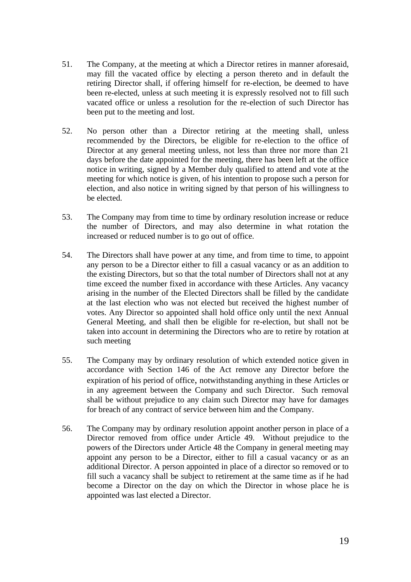- 51. The Company, at the meeting at which a Director retires in manner aforesaid, may fill the vacated office by electing a person thereto and in default the retiring Director shall, if offering himself for re-election, be deemed to have been re-elected, unless at such meeting it is expressly resolved not to fill such vacated office or unless a resolution for the re-election of such Director has been put to the meeting and lost.
- 52. No person other than a Director retiring at the meeting shall, unless recommended by the Directors, be eligible for re-election to the office of Director at any general meeting unless, not less than three nor more than 21 days before the date appointed for the meeting, there has been left at the office notice in writing, signed by a Member duly qualified to attend and vote at the meeting for which notice is given, of his intention to propose such a person for election, and also notice in writing signed by that person of his willingness to be elected.
- 53. The Company may from time to time by ordinary resolution increase or reduce the number of Directors, and may also determine in what rotation the increased or reduced number is to go out of office.
- 54. The Directors shall have power at any time, and from time to time, to appoint any person to be a Director either to fill a casual vacancy or as an addition to the existing Directors, but so that the total number of Directors shall not at any time exceed the number fixed in accordance with these Articles. Any vacancy arising in the number of the Elected Directors shall be filled by the candidate at the last election who was not elected but received the highest number of votes. Any Director so appointed shall hold office only until the next Annual General Meeting, and shall then be eligible for re-election, but shall not be taken into account in determining the Directors who are to retire by rotation at such meeting
- 55. The Company may by ordinary resolution of which extended notice given in accordance with Section 146 of the Act remove any Director before the expiration of his period of office, notwithstanding anything in these Articles or in any agreement between the Company and such Director. Such removal shall be without prejudice to any claim such Director may have for damages for breach of any contract of service between him and the Company.
- 56. The Company may by ordinary resolution appoint another person in place of a Director removed from office under Article 49. Without prejudice to the powers of the Directors under Article 48 the Company in general meeting may appoint any person to be a Director, either to fill a casual vacancy or as an additional Director. A person appointed in place of a director so removed or to fill such a vacancy shall be subject to retirement at the same time as if he had become a Director on the day on which the Director in whose place he is appointed was last elected a Director.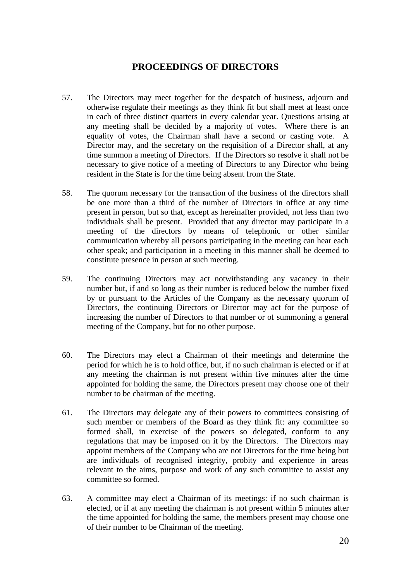### **PROCEEDINGS OF DIRECTORS**

- 57. The Directors may meet together for the despatch of business, adjourn and otherwise regulate their meetings as they think fit but shall meet at least once in each of three distinct quarters in every calendar year. Questions arising at any meeting shall be decided by a majority of votes. Where there is an equality of votes, the Chairman shall have a second or casting vote. A Director may, and the secretary on the requisition of a Director shall, at any time summon a meeting of Directors. If the Directors so resolve it shall not be necessary to give notice of a meeting of Directors to any Director who being resident in the State is for the time being absent from the State.
- 58. The quorum necessary for the transaction of the business of the directors shall be one more than a third of the number of Directors in office at any time present in person, but so that, except as hereinafter provided, not less than two individuals shall be present. Provided that any director may participate in a meeting of the directors by means of telephonic or other similar communication whereby all persons participating in the meeting can hear each other speak; and participation in a meeting in this manner shall be deemed to constitute presence in person at such meeting.
- 59. The continuing Directors may act notwithstanding any vacancy in their number but, if and so long as their number is reduced below the number fixed by or pursuant to the Articles of the Company as the necessary quorum of Directors, the continuing Directors or Director may act for the purpose of increasing the number of Directors to that number or of summoning a general meeting of the Company, but for no other purpose.
- 60. The Directors may elect a Chairman of their meetings and determine the period for which he is to hold office, but, if no such chairman is elected or if at any meeting the chairman is not present within five minutes after the time appointed for holding the same, the Directors present may choose one of their number to be chairman of the meeting.
- 61. The Directors may delegate any of their powers to committees consisting of such member or members of the Board as they think fit: any committee so formed shall, in exercise of the powers so delegated, conform to any regulations that may be imposed on it by the Directors. The Directors may appoint members of the Company who are not Directors for the time being but are individuals of recognised integrity, probity and experience in areas relevant to the aims, purpose and work of any such committee to assist any committee so formed.
- 63. A committee may elect a Chairman of its meetings: if no such chairman is elected, or if at any meeting the chairman is not present within 5 minutes after the time appointed for holding the same, the members present may choose one of their number to be Chairman of the meeting.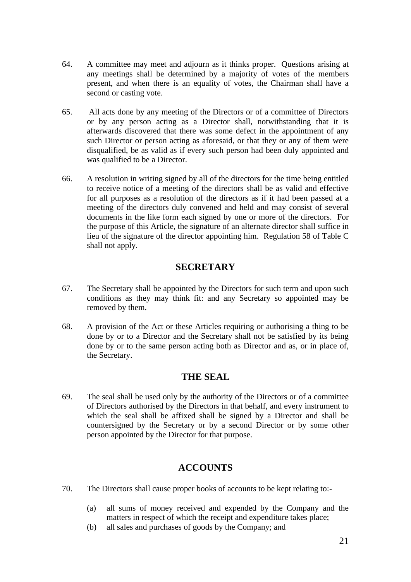- 64. A committee may meet and adjourn as it thinks proper. Questions arising at any meetings shall be determined by a majority of votes of the members present, and when there is an equality of votes, the Chairman shall have a second or casting vote.
- 65. All acts done by any meeting of the Directors or of a committee of Directors or by any person acting as a Director shall, notwithstanding that it is afterwards discovered that there was some defect in the appointment of any such Director or person acting as aforesaid, or that they or any of them were disqualified, be as valid as if every such person had been duly appointed and was qualified to be a Director.
- 66. A resolution in writing signed by all of the directors for the time being entitled to receive notice of a meeting of the directors shall be as valid and effective for all purposes as a resolution of the directors as if it had been passed at a meeting of the directors duly convened and held and may consist of several documents in the like form each signed by one or more of the directors. For the purpose of this Article, the signature of an alternate director shall suffice in lieu of the signature of the director appointing him. Regulation 58 of Table C shall not apply.

### **SECRETARY**

- 67. The Secretary shall be appointed by the Directors for such term and upon such conditions as they may think fit: and any Secretary so appointed may be removed by them.
- 68. A provision of the Act or these Articles requiring or authorising a thing to be done by or to a Director and the Secretary shall not be satisfied by its being done by or to the same person acting both as Director and as, or in place of, the Secretary.

### **THE SEAL**

69. The seal shall be used only by the authority of the Directors or of a committee of Directors authorised by the Directors in that behalf, and every instrument to which the seal shall be affixed shall be signed by a Director and shall be countersigned by the Secretary or by a second Director or by some other person appointed by the Director for that purpose.

#### **ACCOUNTS**

- 70. The Directors shall cause proper books of accounts to be kept relating to:-
	- (a) all sums of money received and expended by the Company and the matters in respect of which the receipt and expenditure takes place;
	- (b) all sales and purchases of goods by the Company; and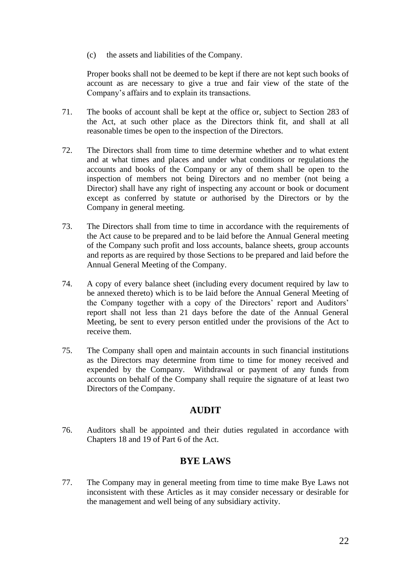(c) the assets and liabilities of the Company.

Proper books shall not be deemed to be kept if there are not kept such books of account as are necessary to give a true and fair view of the state of the Company's affairs and to explain its transactions.

- 71. The books of account shall be kept at the office or, subject to Section 283 of the Act, at such other place as the Directors think fit, and shall at all reasonable times be open to the inspection of the Directors.
- 72. The Directors shall from time to time determine whether and to what extent and at what times and places and under what conditions or regulations the accounts and books of the Company or any of them shall be open to the inspection of members not being Directors and no member (not being a Director) shall have any right of inspecting any account or book or document except as conferred by statute or authorised by the Directors or by the Company in general meeting.
- 73. The Directors shall from time to time in accordance with the requirements of the Act cause to be prepared and to be laid before the Annual General meeting of the Company such profit and loss accounts, balance sheets, group accounts and reports as are required by those Sections to be prepared and laid before the Annual General Meeting of the Company.
- 74. A copy of every balance sheet (including every document required by law to be annexed thereto) which is to be laid before the Annual General Meeting of the Company together with a copy of the Directors' report and Auditors' report shall not less than 21 days before the date of the Annual General Meeting, be sent to every person entitled under the provisions of the Act to receive them.
- 75. The Company shall open and maintain accounts in such financial institutions as the Directors may determine from time to time for money received and expended by the Company. Withdrawal or payment of any funds from accounts on behalf of the Company shall require the signature of at least two Directors of the Company.

### **AUDIT**

76. Auditors shall be appointed and their duties regulated in accordance with Chapters 18 and 19 of Part 6 of the Act.

### **BYE LAWS**

77. The Company may in general meeting from time to time make Bye Laws not inconsistent with these Articles as it may consider necessary or desirable for the management and well being of any subsidiary activity.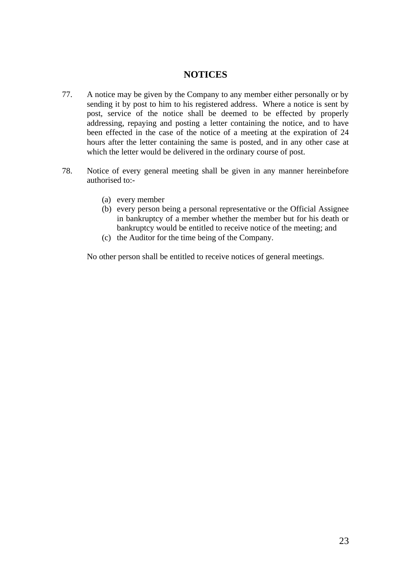#### **NOTICES**

- 77. A notice may be given by the Company to any member either personally or by sending it by post to him to his registered address. Where a notice is sent by post, service of the notice shall be deemed to be effected by properly addressing, repaying and posting a letter containing the notice, and to have been effected in the case of the notice of a meeting at the expiration of 24 hours after the letter containing the same is posted, and in any other case at which the letter would be delivered in the ordinary course of post.
- 78. Notice of every general meeting shall be given in any manner hereinbefore authorised to:-
	- (a) every member
	- (b) every person being a personal representative or the Official Assignee in bankruptcy of a member whether the member but for his death or bankruptcy would be entitled to receive notice of the meeting; and
	- (c) the Auditor for the time being of the Company.

No other person shall be entitled to receive notices of general meetings.